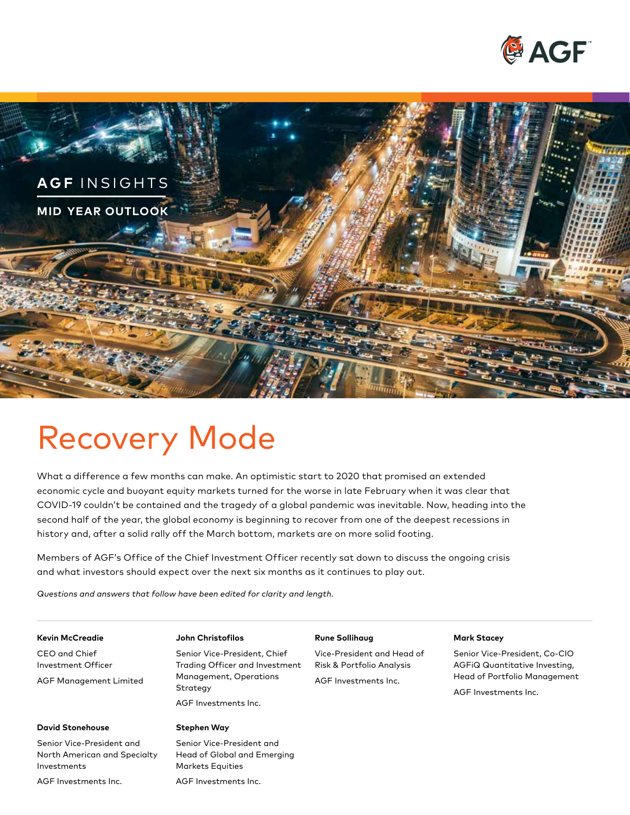



# Recovery Mode

What a difference a few months can make. An optimistic start to 2020 that promised an extended economic cycle and buoyant equity markets turned for the worse in late February when it was clear that COVID-19 couldn't be contained and the tragedy of a global pandemic was inevitable. Now, heading into the second half of the year, the global economy is beginning to recover from one of the deepest recessions in history and, after a solid rally off the March bottom, markets are on more solid footing.

Members of AGF's Office of the Chief Investment Officer recently sat down to discuss the ongoing crisis and what investors should expect over the next six months as it continues to play out.

*Questions and answers that follow have been edited for clarity and length.* 

#### **Kevin McCreadie**

CEO and Chief Investment Officer AGF Management Limited

#### **John Christofilos**

Senior Vice-President, Chief Trading Officer and Investment Management, Operations **Strategy** 

#### AGF Investments Inc.

#### **Stephen Way**

Senior Vice-President and North American and Specialty Investments

AGF Investments Inc.

**David Stonehouse** 

Senior Vice-President and Head of Global and Emerging Markets Equities

AGF Investments Inc.

#### **Rune Sollihaug**

Vice-President and Head of Risk & Portfolio Analysis AGF Investments Inc.

#### **Mark Stacey**

Senior Vice-President, Co-CIO AGFiQ Quantitative Investing, Head of Portfolio Management

AGF Investments Inc.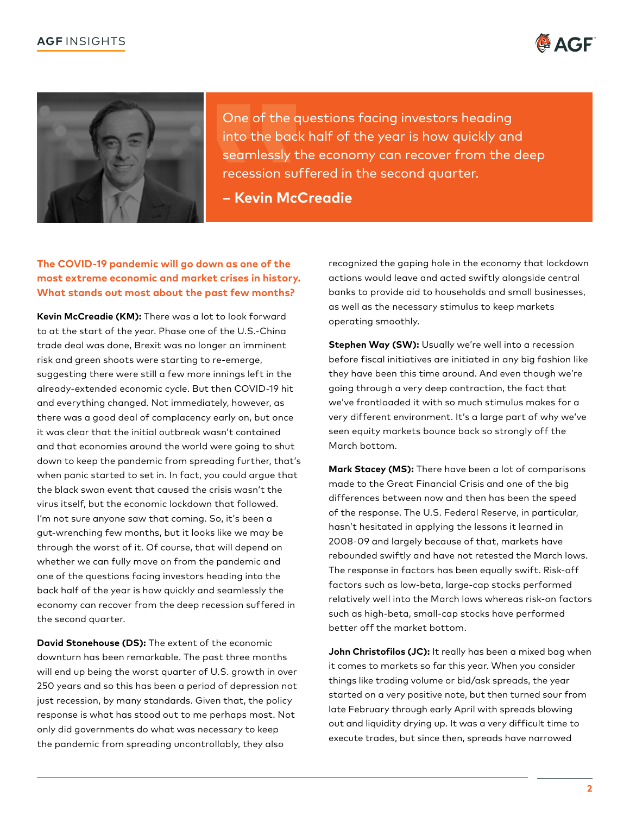



One of the questions facing investors heading into the back half of the year is how quickly and seamlessly the economy can recover from the deep recession suffered in the second quarter.

**– Kevin McCreadie** 

# **The COVID-19 pandemic will go down as one of the most extreme economic and market crises in history. What stands out most about the past few months?**

**Kevin McCreadie (KM):** There was a lot to look forward to at the start of the year. Phase one of the U.S.-China trade deal was done, Brexit was no longer an imminent risk and green shoots were starting to re-emerge, suggesting there were still a few more innings left in the already-extended economic cycle. But then COVID-19 hit and everything changed. Not immediately, however, as there was a good deal of complacency early on, but once it was clear that the initial outbreak wasn't contained and that economies around the world were going to shut down to keep the pandemic from spreading further, that's when panic started to set in. In fact, you could argue that the black swan event that caused the crisis wasn't the virus itself, but the economic lockdown that followed. I'm not sure anyone saw that coming. So, it's been a gut-wrenching few months, but it looks like we may be through the worst of it. Of course, that will depend on whether we can fully move on from the pandemic and one of the questions facing investors heading into the back half of the year is how quickly and seamlessly the economy can recover from the deep recession suffered in the second quarter.

**David Stonehouse (DS):** The extent of the economic downturn has been remarkable. The past three months will end up being the worst quarter of U.S. growth in over 250 years and so this has been a period of depression not just recession, by many standards. Given that, the policy response is what has stood out to me perhaps most. Not only did governments do what was necessary to keep the pandemic from spreading uncontrollably, they also

recognized the gaping hole in the economy that lockdown actions would leave and acted swiftly alongside central banks to provide aid to households and small businesses, as well as the necessary stimulus to keep markets operating smoothly.

**Stephen Way (SW):** Usually we're well into a recession before fiscal initiatives are initiated in any big fashion like they have been this time around. And even though we're going through a very deep contraction, the fact that we've frontloaded it with so much stimulus makes for a very different environment. It's a large part of why we've seen equity markets bounce back so strongly off the March bottom.

**Mark Stacey (MS):** There have been a lot of comparisons made to the Great Financial Crisis and one of the big differences between now and then has been the speed of the response. The U.S. Federal Reserve, in particular, hasn't hesitated in applying the lessons it learned in 2008-09 and largely because of that, markets have rebounded swiftly and have not retested the March lows. The response in factors has been equally swift. Risk-off factors such as low-beta, large-cap stocks performed relatively well into the March lows whereas risk-on factors such as high-beta, small-cap stocks have performed better off the market bottom.

**John Christofilos (JC):** It really has been a mixed bag when it comes to markets so far this year. When you consider things like trading volume or bid/ask spreads, the year started on a very positive note, but then turned sour from late February through early April with spreads blowing out and liquidity drying up. It was a very difficult time to execute trades, but since then, spreads have narrowed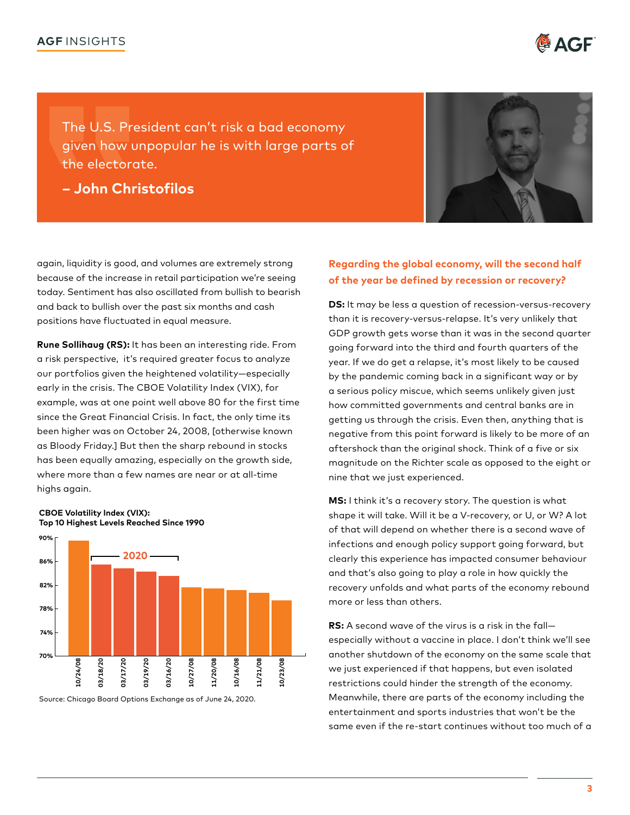

The U.S. President can't risk a bad economy given how unpopular he is with large parts of the electorate.

**– John Christofilos** 



again, liquidity is good, and volumes are extremely strong because of the increase in retail participation we're seeing today. Sentiment has also oscillated from bullish to bearish and back to bullish over the past six months and cash positions have fluctuated in equal measure.

 **Rune Sollihaug (RS):** It has been an interesting ride. From a risk perspective, it's required greater focus to analyze our portfolios given the heightened volatility—especially early in the crisis. The CBOE Volatility Index (VIX), for example, was at one point well above 80 for the first time since the Great Financial Crisis. In fact, the only time its been higher was on October 24, 2008, [otherwise known as Bloody Friday.] But then the sharp rebound in stocks has been equally amazing, especially on the growth side, where more than a few names are near or at all-time highs again.



Source: Chicago Board Options Exchange as of June 24, 2020.

**CBOE Volatility Index (VIX):** 

**Top 10 Highest Levels Reached Since 1990** 

# **Regarding the global economy, will the second half of the year be defined by recession or recovery?**

**DS:** It may be less a question of recession-versus-recovery than it is recovery-versus-relapse. It's very unlikely that GDP growth gets worse than it was in the second quarter going forward into the third and fourth quarters of the year. If we do get a relapse, it's most likely to be caused by the pandemic coming back in a significant way or by a serious policy miscue, which seems unlikely given just how committed governments and central banks are in getting us through the crisis. Even then, anything that is negative from this point forward is likely to be more of an aftershock than the original shock. Think of a five or six magnitude on the Richter scale as opposed to the eight or nine that we just experienced.

**MS:** I think it's a recovery story. The question is what shape it will take. Will it be a V-recovery, or U, or W? A lot of that will depend on whether there is a second wave of infections and enough policy support going forward, but clearly this experience has impacted consumer behaviour and that's also going to play a role in how quickly the recovery unfolds and what parts of the economy rebound more or less than others.

**RS:** A second wave of the virus is a risk in the fall especially without a vaccine in place. I don't think we'll see another shutdown of the economy on the same scale that we just experienced if that happens, but even isolated restrictions could hinder the strength of the economy. Meanwhile, there are parts of the economy including the entertainment and sports industries that won't be the same even if the re-start continues without too much of a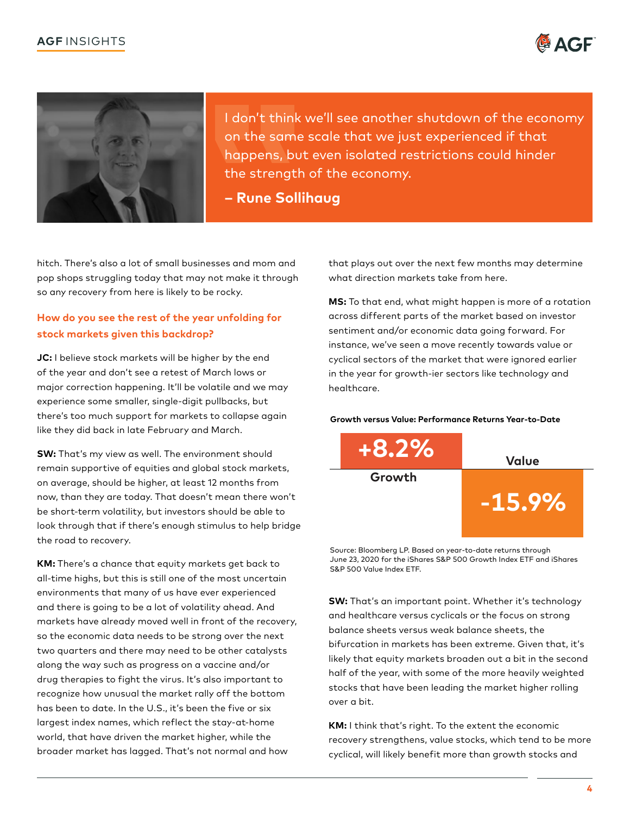



I don't think we'll see another shutdown of the economy on the same scale that we just experienced if that happens, but even isolated restrictions could hinder the strength of the economy.

**– Rune Sollihaug**

hitch. There's also a lot of small businesses and mom and pop shops struggling today that may not make it through so any recovery from here is likely to be rocky.

# **How do you see the rest of the year unfolding for stock markets given this backdrop?**

**JC:** I believe stock markets will be higher by the end of the year and don't see a retest of March lows or major correction happening. It'll be volatile and we may experience some smaller, single-digit pullbacks, but there's too much support for markets to collapse again like they did back in late February and March.

**SW:** That's my view as well. The environment should remain supportive of equities and global stock markets, on average, should be higher, at least 12 months from now, than they are today. That doesn't mean there won't be short-term volatility, but investors should be able to look through that if there's enough stimulus to help bridge the road to recovery.

**KM:** There's a chance that equity markets get back to all-time highs, but this is still one of the most uncertain environments that many of us have ever experienced and there is going to be a lot of volatility ahead. And markets have already moved well in front of the recovery, so the economic data needs to be strong over the next two quarters and there may need to be other catalysts along the way such as progress on a vaccine and/or drug therapies to fight the virus. It's also important to recognize how unusual the market rally off the bottom has been to date. In the U.S., it's been the five or six largest index names, which reflect the stay-at-home world, that have driven the market higher, while the broader market has lagged. That's not normal and how

that plays out over the next few months may determine what direction markets take from here.

**MS:** To that end, what might happen is more of a rotation across different parts of the market based on investor sentiment and/or economic data going forward. For instance, we've seen a move recently towards value or cyclical sectors of the market that were ignored earlier in the year for growth-ier sectors like technology and healthcare.

#### **Growth versus Value: Performance Returns Year-to-Date**



Source: Bloomberg LP. Based on year-to-date returns through June 23, 2020 for the iShares S&P 500 Growth Index ETF and iShares S&P 500 Value Index ETF.

**SW:** That's an important point. Whether it's technology and healthcare versus cyclicals or the focus on strong balance sheets versus weak balance sheets, the bifurcation in markets has been extreme. Given that, it's likely that equity markets broaden out a bit in the second half of the year, with some of the more heavily weighted stocks that have been leading the market higher rolling over a bit.

**KM:** I think that's right. To the extent the economic recovery strengthens, value stocks, which tend to be more cyclical, will likely benefit more than growth stocks and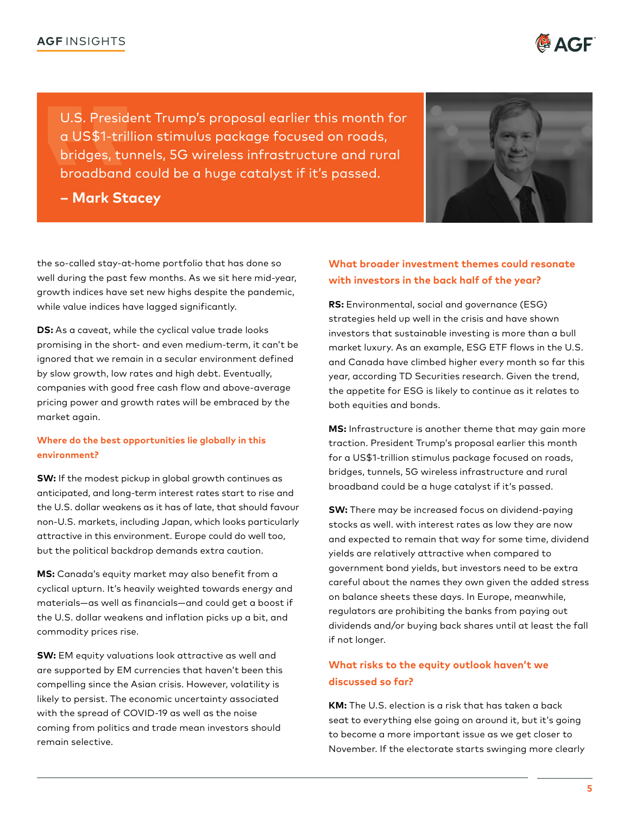

**– Mark Stacey** 



the so-called stay-at-home portfolio that has done so well during the past few months. As we sit here mid-year, growth indices have set new highs despite the pandemic, while value indices have lagged significantly.

**DS:** As a caveat, while the cyclical value trade looks promising in the short- and even medium-term, it can't be ignored that we remain in a secular environment defined by slow growth, low rates and high debt. Eventually, companies with good free cash flow and above-average pricing power and growth rates will be embraced by the market again.

### **Where do the best opportunities lie globally in this environment?**

**SW:** If the modest pickup in global growth continues as anticipated, and long-term interest rates start to rise and the U.S. dollar weakens as it has of late, that should favour non-U.S. markets, including Japan, which looks particularly attractive in this environment. Europe could do well too, but the political backdrop demands extra caution.

**MS:** Canada's equity market may also benefit from a cyclical upturn. It's heavily weighted towards energy and materials—as well as financials—and could get a boost if the U.S. dollar weakens and inflation picks up a bit, and commodity prices rise.

**SW:** EM equity valuations look attractive as well and are supported by EM currencies that haven't been this compelling since the Asian crisis. However, volatility is likely to persist. The economic uncertainty associated with the spread of COVID-19 as well as the noise coming from politics and trade mean investors should remain selective.

# **What broader investment themes could resonate with investors in the back half of the year?**

**RS:** Environmental, social and governance (ESG) strategies held up well in the crisis and have shown investors that sustainable investing is more than a bull market luxury. As an example, ESG ETF flows in the U.S. and Canada have climbed higher every month so far this year, according TD Securities research. Given the trend, the appetite for ESG is likely to continue as it relates to both equities and bonds.

**MS:** Infrastructure is another theme that may gain more traction. President Trump's proposal earlier this month for a US\$1-trillion stimulus package focused on roads, bridges, tunnels, 5G wireless infrastructure and rural broadband could be a huge catalyst if it's passed.

**SW:** There may be increased focus on dividend-paying stocks as well. with interest rates as low they are now and expected to remain that way for some time, dividend yields are relatively attractive when compared to government bond yields, but investors need to be extra careful about the names they own given the added stress on balance sheets these days. In Europe, meanwhile, regulators are prohibiting the banks from paying out dividends and/or buying back shares until at least the fall if not longer.

# **What risks to the equity outlook haven't we discussed so far?**

**KM:** The U.S. election is a risk that has taken a back seat to everything else going on around it, but it's going to become a more important issue as we get closer to November. If the electorate starts swinging more clearly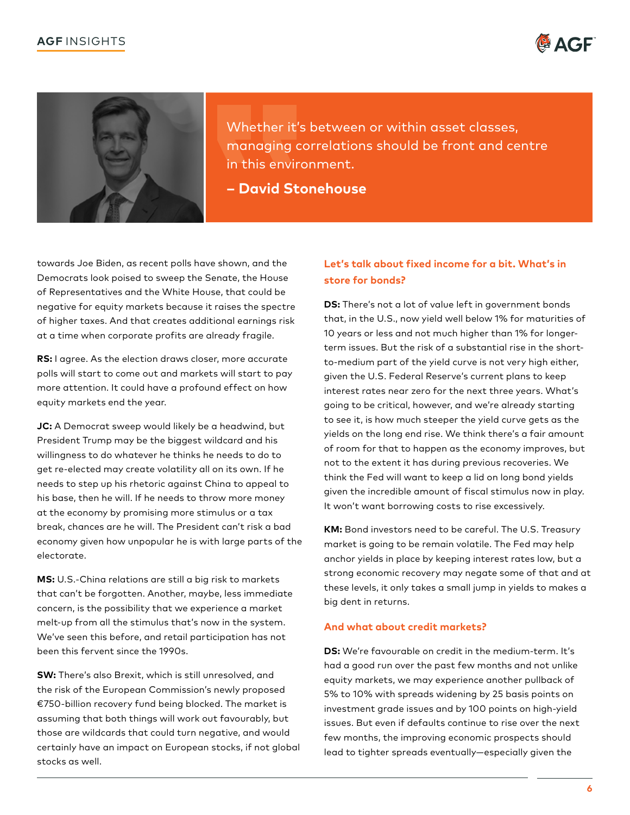



Whether it's between or within asset classes, managing correlations should be front and centre in this environment.

**– David Stonehouse** 

towards Joe Biden, as recent polls have shown, and the Democrats look poised to sweep the Senate, the House of Representatives and the White House, that could be negative for equity markets because it raises the spectre of higher taxes. And that creates additional earnings risk at a time when corporate profits are already fragile.

**RS:** I agree. As the election draws closer, more accurate polls will start to come out and markets will start to pay more attention. It could have a profound effect on how equity markets end the year.

 electorate. **JC:** A Democrat sweep would likely be a headwind, but President Trump may be the biggest wildcard and his willingness to do whatever he thinks he needs to do to get re-elected may create volatility all on its own. If he needs to step up his rhetoric against China to appeal to his base, then he will. If he needs to throw more money at the economy by promising more stimulus or a tax break, chances are he will. The President can't risk a bad economy given how unpopular he is with large parts of the

**MS:** U.S.-China relations are still a big risk to markets that can't be forgotten. Another, maybe, less immediate concern, is the possibility that we experience a market melt-up from all the stimulus that's now in the system. We've seen this before, and retail participation has not been this fervent since the 1990s.

**SW:** There's also Brexit, which is still unresolved, and the risk of the European Commission's newly proposed €750-billion recovery fund being blocked. The market is assuming that both things will work out favourably, but those are wildcards that could turn negative, and would certainly have an impact on European stocks, if not global stocks as well.

# **Let's talk about fixed income for a bit. What's in store for bonds?**

**DS:** There's not a lot of value left in government bonds that, in the U.S., now yield well below 1% for maturities of 10 years or less and not much higher than 1% for longerterm issues. But the risk of a substantial rise in the shortto-medium part of the yield curve is not very high either, given the U.S. Federal Reserve's current plans to keep interest rates near zero for the next three years. What's going to be critical, however, and we're already starting to see it, is how much steeper the yield curve gets as the yields on the long end rise. We think there's a fair amount of room for that to happen as the economy improves, but not to the extent it has during previous recoveries. We think the Fed will want to keep a lid on long bond yields given the incredible amount of fiscal stimulus now in play. It won't want borrowing costs to rise excessively.

**KM:** Bond investors need to be careful. The U.S. Treasury market is going to be remain volatile. The Fed may help anchor yields in place by keeping interest rates low, but a strong economic recovery may negate some of that and at these levels, it only takes a small jump in yields to makes a big dent in returns.

### **And what about credit markets?**

**DS:** We're favourable on credit in the medium-term. It's had a good run over the past few months and not unlike equity markets, we may experience another pullback of 5% to 10% with spreads widening by 25 basis points on investment grade issues and by 100 points on high-yield issues. But even if defaults continue to rise over the next few months, the improving economic prospects should lead to tighter spreads eventually—especially given the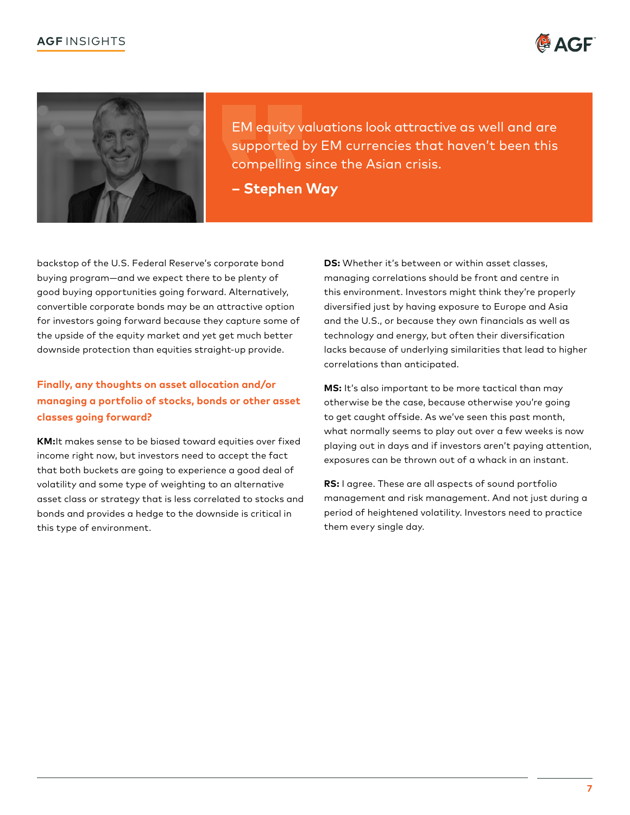# **AGF** INSIGHTS





 EM equity valuations look attractive as well and are supported by EM currencies that haven't been this compelling since the Asian crisis.

**– Stephen Way** 

backstop of the U.S. Federal Reserve's corporate bond buying program—and we expect there to be plenty of good buying opportunities going forward. Alternatively, convertible corporate bonds may be an attractive option for investors going forward because they capture some of the upside of the equity market and yet get much better downside protection than equities straight-up provide.

# **Finally, any thoughts on asset allocation and/or managing a portfolio of stocks, bonds or other asset classes going forward?**

**KM:**It makes sense to be biased toward equities over fixed income right now, but investors need to accept the fact that both buckets are going to experience a good deal of volatility and some type of weighting to an alternative asset class or strategy that is less correlated to stocks and bonds and provides a hedge to the downside is critical in this type of environment.

**DS:** Whether it's between or within asset classes, managing correlations should be front and centre in this environment. Investors might think they're properly diversified just by having exposure to Europe and Asia and the U.S., or because they own financials as well as technology and energy, but often their diversification lacks because of underlying similarities that lead to higher correlations than anticipated.

**MS:** It's also important to be more tactical than may otherwise be the case, because otherwise you're going to get caught offside. As we've seen this past month, what normally seems to play out over a few weeks is now playing out in days and if investors aren't paying attention, exposures can be thrown out of a whack in an instant.

**RS:** I agree. These are all aspects of sound portfolio management and risk management. And not just during a period of heightened volatility. Investors need to practice them every single day.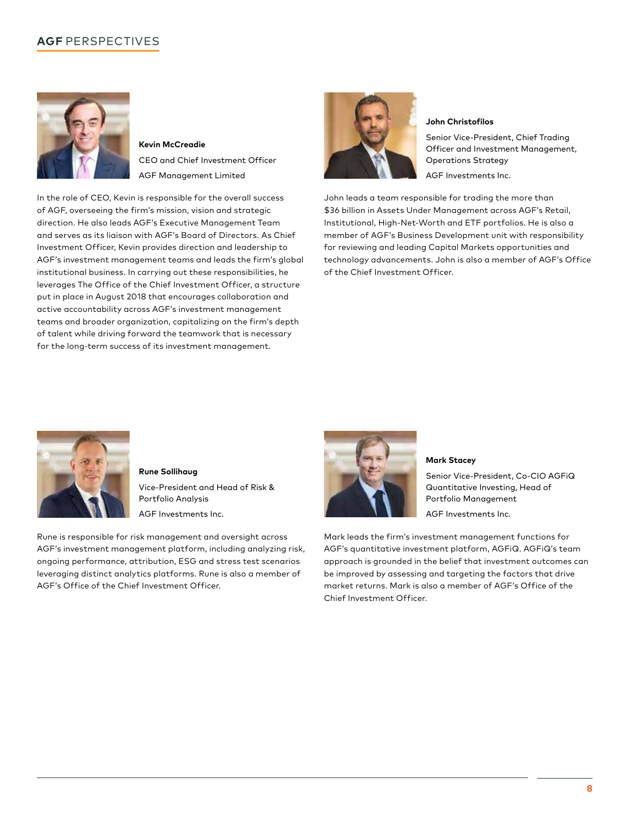# **AGF** PERSPECTIVES



**Kevin McCreadie**  CEO and Chief Investment Officer AGF Management Limited

In the role of CEO, Kevin is responsible for the overall success of AGF, overseeing the firm's mission, vision and strategic direction. He also leads AGF's Executive Management Team and serves as its liaison with AGF's Board of Directors. As Chief Investment Officer, Kevin provides direction and leadership to AGF's investment management teams and leads the firm's global institutional business. In carrying out these responsibilities, he leverages The Office of the Chief Investment Officer, a structure put in place in August 2018 that encourages collaboration and active accountability across AGF's investment management teams and broader organization, capitalizing on the firm's depth of talent while driving forward the teamwork that is necessary for the long-term success of its investment management.



#### **John Christofilos**

Senior Vice-President, Chief Trading Officer and Investment Management, Operations Strategy AGF Investments Inc.

John leads a team responsible for trading the more than \$36 billion in Assets Under Management across AGF's Retail, Institutional, High-Net-Worth and ETF portfolios. He is also a member of AGF's Business Development unit with responsibility for reviewing and leading Capital Markets opportunities and technology advancements. John is also a member of AGF's Office of the Chief Investment Officer.



**Rune Sollihaug**  Vice-President and Head of Risk & Portfolio Analysis AGF Investments Inc.

Rune is responsible for risk management and oversight across AGF's investment management platform, including analyzing risk, ongoing performance, attribution, ESG and stress test scenarios leveraging distinct analytics platforms. Rune is also a member of AGF's Office of the Chief Investment Officer.



#### **Mark Stacey**

Senior Vice-President, Co-CIO AGFiQ Quantitative Investing, Head of Portfolio Management

AGF Investments Inc.

Mark leads the firm's investment management functions for AGF's quantitative investment platform, AGFiQ. AGFiQ's team approach is grounded in the belief that investment outcomes can be improved by assessing and targeting the factors that drive market returns. Mark is also a member of AGF's Office of the Chief Investment Officer.